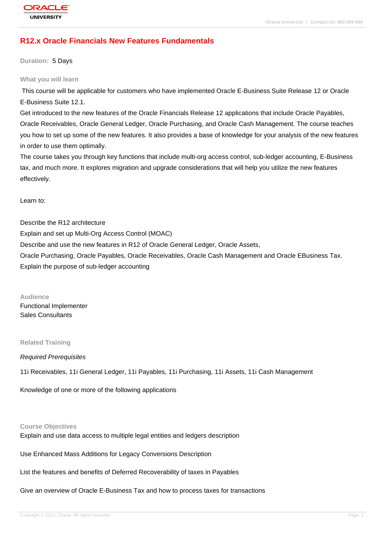# **[R12.x Oracle F](http://education.oracle.com/pls/web_prod-plq-dad/db_pages.getpage?page_id=3)inancials New Features Fundamentals**

**Duration:** 5 Days

#### **What you will learn**

 This course will be applicable for customers who have implemented Oracle E-Business Suite Release 12 or Oracle E-Business Suite 12.1.

Get introduced to the new features of the Oracle Financials Release 12 applications that include Oracle Payables, Oracle Receivables, Oracle General Ledger, Oracle Purchasing, and Oracle Cash Management. The course teaches you how to set up some of the new features. It also provides a base of knowledge for your analysis of the new features in order to use them optimally.

The course takes you through key functions that include multi-org access control, sub-ledger accounting, E-Business tax, and much more. It explores migration and upgrade considerations that will help you utilize the new features effectively.

Learn to:

Describe the R12 architecture Explain and set up Multi-Org Access Control (MOAC) Describe and use the new features in R12 of Oracle General Ledger, Oracle Assets, Oracle Purchasing, Oracle Payables, Oracle Receivables, Oracle Cash Management and Oracle EBusiness Tax. Explain the purpose of sub-ledger accounting

**Audience** Functional Implementer Sales Consultants

#### **Related Training**

Required Prerequisites

11i Receivables, 11i General Ledger, 11i Payables, 11i Purchasing, 11i Assets, 11i Cash Management

Knowledge of one or more of the following applications

#### **Course Objectives**

Explain and use data access to multiple legal entities and ledgers description

Use Enhanced Mass Additions for Legacy Conversions Description

List the features and benefits of Deferred Recoverability of taxes in Payables

Give an overview of Oracle E-Business Tax and how to process taxes for transactions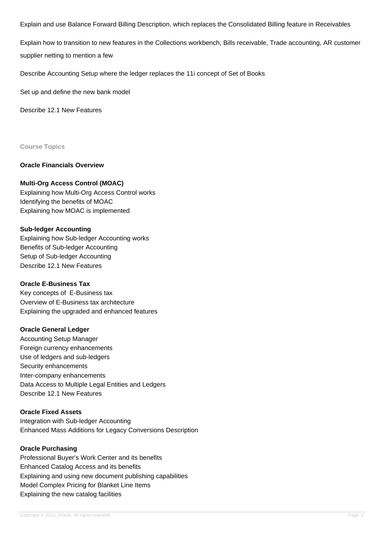Explain and use Balance Forward Billing Description, which replaces the Consolidated Billing feature in Receivables

Explain how to transition to new features in the Collections workbench, Bills receivable, Trade accounting, AR customer supplier netting to mention a few

Describe Accounting Setup where the ledger replaces the 11i concept of Set of Books

Set up and define the new bank model

Describe 12.1 New Features

**Course Topics**

### **Oracle Financials Overview**

### **Multi-Org Access Control (MOAC)**

Explaining how Multi-Org Access Control works Identifying the benefits of MOAC Explaining how MOAC is implemented

### **Sub-ledger Accounting**

Explaining how Sub-ledger Accounting works Benefits of Sub-ledger Accounting Setup of Sub-ledger Accounting Describe 12.1 New Features

#### **Oracle E-Business Tax**

Key concepts of E-Business tax Overview of E-Business tax architecture Explaining the upgraded and enhanced features

### **Oracle General Ledger**

Accounting Setup Manager Foreign currency enhancements Use of ledgers and sub-ledgers Security enhancements Inter-company enhancements Data Access to Multiple Legal Entities and Ledgers Describe 12.1 New Features

## **Oracle Fixed Assets**

Integration with Sub-ledger Accounting Enhanced Mass Additions for Legacy Conversions Description

### **Oracle Purchasing**

Professional Buyer's Work Center and its benefits Enhanced Catalog Access and its benefits Explaining and using new document publishing capabilities Model Complex Pricing for Blanket Line Items Explaining the new catalog facilities